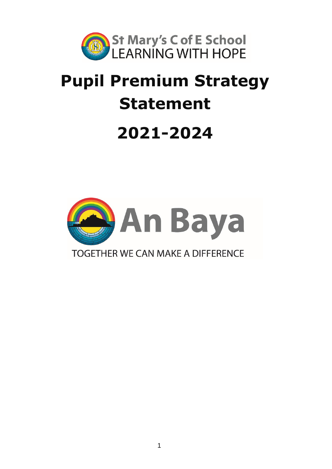

# **Pupil Premium Strategy Statement 2021-2024**

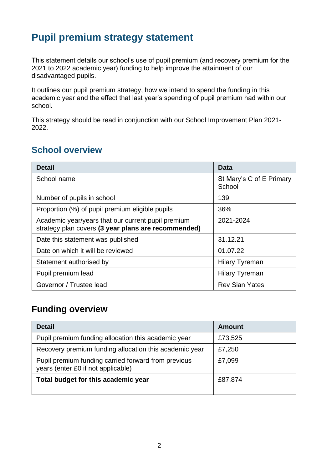## **Pupil premium strategy statement**

This statement details our school's use of pupil premium (and recovery premium for the 2021 to 2022 academic year) funding to help improve the attainment of our disadvantaged pupils.

It outlines our pupil premium strategy, how we intend to spend the funding in this academic year and the effect that last year's spending of pupil premium had within our school.

This strategy should be read in conjunction with our School Improvement Plan 2021- 2022.

### **School overview**

| <b>Detail</b>                                                                                             | Data                               |
|-----------------------------------------------------------------------------------------------------------|------------------------------------|
| School name                                                                                               | St Mary's C of E Primary<br>School |
| Number of pupils in school                                                                                | 139                                |
| Proportion (%) of pupil premium eligible pupils                                                           | 36%                                |
| Academic year/years that our current pupil premium<br>strategy plan covers (3 year plans are recommended) | 2021-2024                          |
| Date this statement was published                                                                         | 31.12.21                           |
| Date on which it will be reviewed                                                                         | 01.07.22                           |
| Statement authorised by                                                                                   | <b>Hilary Tyreman</b>              |
| Pupil premium lead                                                                                        | <b>Hilary Tyreman</b>              |
| Governor / Trustee lead                                                                                   | <b>Rev Sian Yates</b>              |

## **Funding overview**

| <b>Detail</b>                                                                             | Amount  |
|-------------------------------------------------------------------------------------------|---------|
| Pupil premium funding allocation this academic year                                       | £73,525 |
| Recovery premium funding allocation this academic year                                    | £7,250  |
| Pupil premium funding carried forward from previous<br>years (enter £0 if not applicable) | £7,099  |
| Total budget for this academic year                                                       | £87,874 |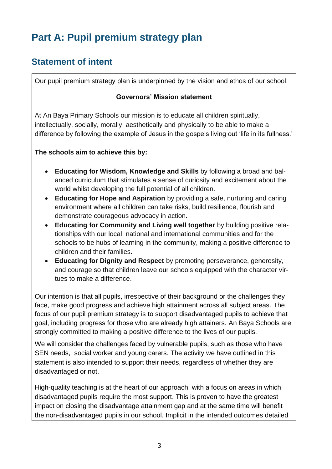# **Part A: Pupil premium strategy plan**

## **Statement of intent**

Our pupil premium strategy plan is underpinned by the vision and ethos of our school:

#### **Governors' Mission statement**

At An Baya Primary Schools our mission is to educate all children spiritually, intellectually, socially, morally, aesthetically and physically to be able to make a difference by following the example of Jesus in the gospels living out 'life in its fullness.'

#### **The schools aim to achieve this by:**

- **Educating for Wisdom, Knowledge and Skills** by following a broad and balanced curriculum that stimulates a sense of curiosity and excitement about the world whilst developing the full potential of all children.
- **Educating for Hope and Aspiration** by providing a safe, nurturing and caring environment where all children can take risks, build resilience, flourish and demonstrate courageous advocacy in action.
- **Educating for Community and Living well together** by building positive relationships with our local, national and international communities and for the schools to be hubs of learning in the community, making a positive difference to children and their families.
- **Educating for Dignity and Respect** by promoting perseverance, generosity, and courage so that children leave our schools equipped with the character virtues to make a difference.

Our intention is that all pupils, irrespective of their background or the challenges they face, make good progress and achieve high attainment across all subject areas. The focus of our pupil premium strategy is to support disadvantaged pupils to achieve that goal, including progress for those who are already high attainers. An Baya Schools are strongly committed to making a positive difference to the lives of our pupils.

We will consider the challenges faced by vulnerable pupils, such as those who have SEN needs, social worker and young carers. The activity we have outlined in this statement is also intended to support their needs, regardless of whether they are disadvantaged or not.

High-quality teaching is at the heart of our approach, with a focus on areas in which disadvantaged pupils require the most support. This is proven to have the greatest impact on closing the disadvantage attainment gap and at the same time will benefit the non-disadvantaged pupils in our school. Implicit in the intended outcomes detailed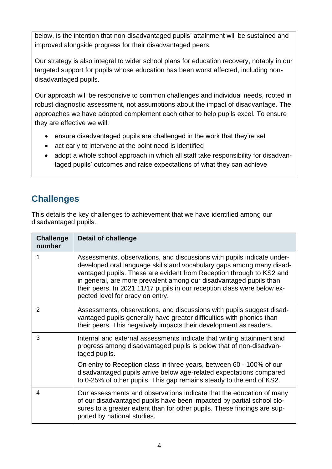below, is the intention that non-disadvantaged pupils' attainment will be sustained and improved alongside progress for their disadvantaged peers.

Our strategy is also integral to wider school plans for education recovery, notably in our targeted support for pupils whose education has been worst affected, including nondisadvantaged pupils.

Our approach will be responsive to common challenges and individual needs, rooted in robust diagnostic assessment, not assumptions about the impact of disadvantage. The approaches we have adopted complement each other to help pupils excel. To ensure they are effective we will:

- ensure disadvantaged pupils are challenged in the work that they're set
- act early to intervene at the point need is identified
- adopt a whole school approach in which all staff take responsibility for disadvantaged pupils' outcomes and raise expectations of what they can achieve

## **Challenges**

This details the key challenges to achievement that we have identified among our disadvantaged pupils.

| <b>Challenge</b><br>number | <b>Detail of challenge</b>                                                                                                                                                                                                                                                                                                                                                                                  |
|----------------------------|-------------------------------------------------------------------------------------------------------------------------------------------------------------------------------------------------------------------------------------------------------------------------------------------------------------------------------------------------------------------------------------------------------------|
|                            | Assessments, observations, and discussions with pupils indicate under-<br>developed oral language skills and vocabulary gaps among many disad-<br>vantaged pupils. These are evident from Reception through to KS2 and<br>in general, are more prevalent among our disadvantaged pupils than<br>their peers. In 2021 11/17 pupils in our reception class were below ex-<br>pected level for oracy on entry. |
| 2                          | Assessments, observations, and discussions with pupils suggest disad-<br>vantaged pupils generally have greater difficulties with phonics than<br>their peers. This negatively impacts their development as readers.                                                                                                                                                                                        |
| 3                          | Internal and external assessments indicate that writing attainment and<br>progress among disadvantaged pupils is below that of non-disadvan-<br>taged pupils.                                                                                                                                                                                                                                               |
|                            | On entry to Reception class in three years, between 60 - 100% of our<br>disadvantaged pupils arrive below age-related expectations compared<br>to 0-25% of other pupils. This gap remains steady to the end of KS2.                                                                                                                                                                                         |
| 4                          | Our assessments and observations indicate that the education of many<br>of our disadvantaged pupils have been impacted by partial school clo-<br>sures to a greater extent than for other pupils. These findings are sup-<br>ported by national studies.                                                                                                                                                    |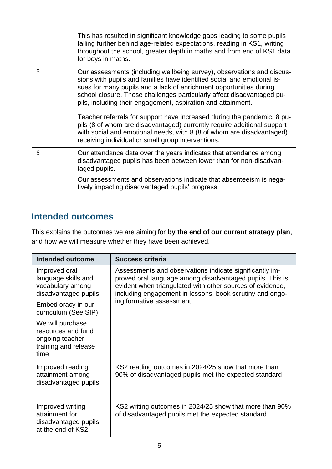|   | This has resulted in significant knowledge gaps leading to some pupils<br>falling further behind age-related expectations, reading in KS1, writing<br>throughout the school, greater depth in maths and from end of KS1 data<br>for boys in maths                                                                                                                 |
|---|-------------------------------------------------------------------------------------------------------------------------------------------------------------------------------------------------------------------------------------------------------------------------------------------------------------------------------------------------------------------|
| 5 | Our assessments (including wellbeing survey), observations and discus-<br>sions with pupils and families have identified social and emotional is-<br>sues for many pupils and a lack of enrichment opportunities during<br>school closure. These challenges particularly affect disadvantaged pu-<br>pils, including their engagement, aspiration and attainment. |
|   | Teacher referrals for support have increased during the pandemic. 8 pu-<br>pils (8 of whom are disadvantaged) currently require additional support<br>with social and emotional needs, with 8 (8 of whom are disadvantaged)<br>receiving individual or small group interventions.                                                                                 |
| 6 | Our attendance data over the years indicates that attendance among<br>disadvantaged pupils has been between lower than for non-disadvan-<br>taged pupils.                                                                                                                                                                                                         |
|   | Our assessments and observations indicate that absenteeism is nega-<br>tively impacting disadvantaged pupils' progress.                                                                                                                                                                                                                                           |

## **Intended outcomes**

This explains the outcomes we are aiming for **by the end of our current strategy plan**, and how we will measure whether they have been achieved.

| Intended outcome                                                                          | <b>Success criteria</b>                                                                                                                                                                                                                                                   |
|-------------------------------------------------------------------------------------------|---------------------------------------------------------------------------------------------------------------------------------------------------------------------------------------------------------------------------------------------------------------------------|
| Improved oral<br>language skills and<br>vocabulary among<br>disadvantaged pupils.         | Assessments and observations indicate significantly im-<br>proved oral language among disadvantaged pupils. This is<br>evident when triangulated with other sources of evidence,<br>including engagement in lessons, book scrutiny and ongo-<br>ing formative assessment. |
| Embed oracy in our<br>curriculum (See SIP)                                                |                                                                                                                                                                                                                                                                           |
| We will purchase<br>resources and fund<br>ongoing teacher<br>training and release<br>time |                                                                                                                                                                                                                                                                           |
| Improved reading<br>attainment among<br>disadvantaged pupils.                             | KS2 reading outcomes in 2024/25 show that more than<br>90% of disadvantaged pupils met the expected standard                                                                                                                                                              |
| Improved writing<br>attainment for<br>disadvantaged pupils<br>at the end of KS2.          | KS2 writing outcomes in 2024/25 show that more than 90%<br>of disadvantaged pupils met the expected standard.                                                                                                                                                             |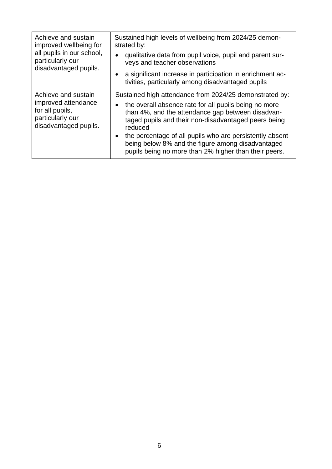| Achieve and sustain<br>improved wellbeing for<br>all pupils in our school,<br>particularly our<br>disadvantaged pupils. | Sustained high levels of wellbeing from 2024/25 demon-<br>strated by:<br>qualitative data from pupil voice, pupil and parent sur-<br>$\bullet$<br>veys and teacher observations<br>a significant increase in participation in enrichment ac-<br>$\bullet$<br>tivities, particularly among disadvantaged pupils                                                                                                                       |
|-------------------------------------------------------------------------------------------------------------------------|--------------------------------------------------------------------------------------------------------------------------------------------------------------------------------------------------------------------------------------------------------------------------------------------------------------------------------------------------------------------------------------------------------------------------------------|
| Achieve and sustain<br>improved attendance<br>for all pupils,<br>particularly our<br>disadvantaged pupils.              | Sustained high attendance from 2024/25 demonstrated by:<br>the overall absence rate for all pupils being no more<br>$\bullet$<br>than 4%, and the attendance gap between disadvan-<br>taged pupils and their non-disadvantaged peers being<br>reduced<br>the percentage of all pupils who are persistently absent<br>٠<br>being below 8% and the figure among disadvantaged<br>pupils being no more than 2% higher than their peers. |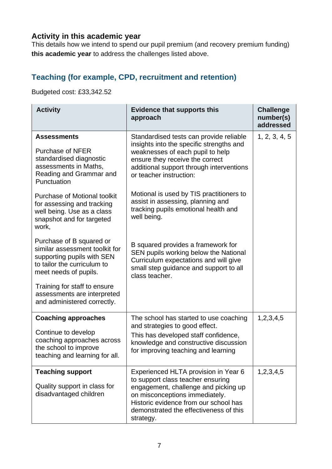#### **Activity in this academic year**

This details how we intend to spend our pupil premium (and recovery premium funding) **this academic year** to address the challenges listed above.

#### **Teaching (for example, CPD, recruitment and retention)**

Budgeted cost: £33,342.52

| <b>Activity</b>                                                                                                                                  | <b>Evidence that supports this</b><br>approach                                                                                                                                                                                                      | <b>Challenge</b><br>number(s)<br>addressed |
|--------------------------------------------------------------------------------------------------------------------------------------------------|-----------------------------------------------------------------------------------------------------------------------------------------------------------------------------------------------------------------------------------------------------|--------------------------------------------|
| <b>Assessments</b><br><b>Purchase of NFER</b><br>standardised diagnostic<br>assessments in Maths,<br>Reading and Grammar and<br>Punctuation      | Standardised tests can provide reliable<br>insights into the specific strengths and<br>weaknesses of each pupil to help<br>ensure they receive the correct<br>additional support through interventions<br>or teacher instruction:                   | 1, 2, 3, 4, 5                              |
| <b>Purchase of Motional toolkit</b><br>for assessing and tracking<br>well being. Use as a class<br>snapshot and for targeted<br>work,            | Motional is used by TIS practitioners to<br>assist in assessing, planning and<br>tracking pupils emotional health and<br>well being.                                                                                                                |                                            |
| Purchase of B squared or<br>similar assessment toolkit for<br>supporting pupils with SEN<br>to tailor the curriculum to<br>meet needs of pupils. | B squared provides a framework for<br>SEN pupils working below the National<br>Curriculum expectations and will give<br>small step guidance and support to all<br>class teacher.                                                                    |                                            |
| Training for staff to ensure<br>assessments are interpreted<br>and administered correctly.                                                       |                                                                                                                                                                                                                                                     |                                            |
| <b>Coaching approaches</b><br>Continue to develop<br>coaching approaches across<br>the school to improve<br>teaching and learning for all.       | The school has started to use coaching<br>and strategies to good effect.<br>This has developed staff confidence,<br>knowledge and constructive discussion<br>for improving teaching and learning                                                    | 1,2,3,4,5                                  |
| <b>Teaching support</b><br>Quality support in class for<br>disadvantaged children                                                                | Experienced HLTA provision in Year 6<br>to support class teacher ensuring<br>engagement, challenge and picking up<br>on misconceptions immediately.<br>Historic evidence from our school has<br>demonstrated the effectiveness of this<br>strategy. | 1,2,3,4,5                                  |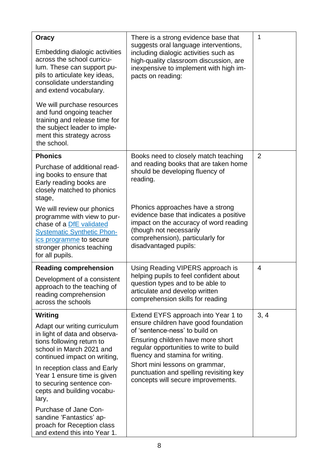| Oracy<br>Embedding dialogic activities<br>across the school curricu-<br>lum. These can support pu-<br>pils to articulate key ideas,<br>consolidate understanding<br>and extend vocabulary.<br>We will purchase resources<br>and fund ongoing teacher<br>training and release time for<br>the subject leader to imple-<br>ment this strategy across<br>the school. | There is a strong evidence base that<br>suggests oral language interventions,<br>including dialogic activities such as<br>high-quality classroom discussion, are<br>inexpensive to implement with high im-<br>pacts on reading: | 1    |
|-------------------------------------------------------------------------------------------------------------------------------------------------------------------------------------------------------------------------------------------------------------------------------------------------------------------------------------------------------------------|---------------------------------------------------------------------------------------------------------------------------------------------------------------------------------------------------------------------------------|------|
| <b>Phonics</b>                                                                                                                                                                                                                                                                                                                                                    | Books need to closely match teaching                                                                                                                                                                                            | 2    |
| Purchase of additional read-<br>ing books to ensure that<br>Early reading books are<br>closely matched to phonics<br>stage,                                                                                                                                                                                                                                       | and reading books that are taken home<br>should be developing fluency of<br>reading.                                                                                                                                            |      |
| We will review our phonics<br>programme with view to pur-<br>chase of a <b>DfE</b> validated<br><b>Systematic Synthetic Phon-</b><br>ics programme to secure<br>stronger phonics teaching<br>for all pupils.                                                                                                                                                      | Phonics approaches have a strong<br>evidence base that indicates a positive<br>impact on the accuracy of word reading<br>(though not necessarily<br>comprehension), particularly for<br>disadvantaged pupils:                   |      |
| <b>Reading comprehension</b>                                                                                                                                                                                                                                                                                                                                      | Using Reading VIPERS approach is                                                                                                                                                                                                | 4    |
| Development of a consistent<br>approach to the teaching of<br>reading comprehension<br>across the schools                                                                                                                                                                                                                                                         | helping pupils to feel confident about<br>question types and to be able to<br>articulate and develop written<br>comprehension skills for reading                                                                                |      |
| <b>Writing</b>                                                                                                                                                                                                                                                                                                                                                    | Extend EYFS approach into Year 1 to                                                                                                                                                                                             | 3, 4 |
| Adapt our writing curriculum<br>in light of data and observa-<br>tions following return to<br>school in March 2021 and<br>continued impact on writing,                                                                                                                                                                                                            | ensure children have good foundation<br>of 'sentence-ness' to build on<br>Ensuring children have more short<br>regular opportunities to write to build<br>fluency and stamina for writing.                                      |      |
| In reception class and Early<br>Year 1 ensure time is given<br>to securing sentence con-<br>cepts and building vocabu-<br>lary,                                                                                                                                                                                                                                   | Short mini lessons on grammar,<br>punctuation and spelling revisiting key<br>concepts will secure improvements.                                                                                                                 |      |
| Purchase of Jane Con-<br>sandine 'Fantastics' ap-<br>proach for Reception class<br>and extend this into Year 1.                                                                                                                                                                                                                                                   |                                                                                                                                                                                                                                 |      |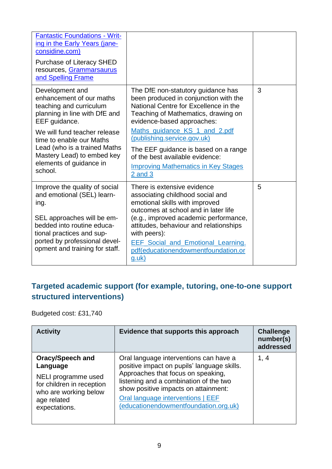| <b>Fantastic Foundations - Writ-</b><br>ing in the Early Years (jane-<br>considine.com)<br>Purchase of Literacy SHED<br>resources, Grammarsaurus<br>and Spelling Frame                                                                                                                   |                                                                                                                                                                                                                                                                                                                                                                                                   |   |
|------------------------------------------------------------------------------------------------------------------------------------------------------------------------------------------------------------------------------------------------------------------------------------------|---------------------------------------------------------------------------------------------------------------------------------------------------------------------------------------------------------------------------------------------------------------------------------------------------------------------------------------------------------------------------------------------------|---|
| Development and<br>enhancement of our maths<br>teaching and curriculum<br>planning in line with DfE and<br>EEF guidance.<br>We will fund teacher release<br>time to enable our Maths<br>Lead (who is a trained Maths<br>Mastery Lead) to embed key<br>elements of guidance in<br>school. | The DfE non-statutory guidance has<br>been produced in conjunction with the<br>National Centre for Excellence in the<br>Teaching of Mathematics, drawing on<br>evidence-based approaches:<br>Maths_guidance_KS_1_and_2.pdf<br>(publishing.service.gov.uk)<br>The EEF guidance is based on a range<br>of the best available evidence:<br><b>Improving Mathematics in Key Stages</b><br>$2$ and $3$ | 3 |
| Improve the quality of social<br>and emotional (SEL) learn-<br>ing.<br>SEL approaches will be em-<br>bedded into routine educa-<br>tional practices and sup-<br>ported by professional devel-<br>opment and training for staff.                                                          | There is extensive evidence<br>associating childhood social and<br>emotional skills with improved<br>outcomes at school and in later life<br>(e.g., improved academic performance,<br>attitudes, behaviour and relationships<br>with peers):<br><b>EEF Social and Emotional Learning.</b><br>pdf(educationendowmentfoundation.or<br>$g.$ uk $)$                                                   | 5 |

## **Targeted academic support (for example, tutoring, one-to-one support structured interventions)**

Budgeted cost: £31,740

| <b>Activity</b>                                                                                                                                  | Evidence that supports this approach                                                                                                                                                                                                                                                        | <b>Challenge</b><br>number(s)<br>addressed |
|--------------------------------------------------------------------------------------------------------------------------------------------------|---------------------------------------------------------------------------------------------------------------------------------------------------------------------------------------------------------------------------------------------------------------------------------------------|--------------------------------------------|
| <b>Oracy/Speech and</b><br>Language<br>NELI programme used<br>for children in reception<br>who are working below<br>age related<br>expectations. | Oral language interventions can have a<br>positive impact on pupils' language skills.<br>Approaches that focus on speaking,<br>listening and a combination of the two<br>show positive impacts on attainment:<br>Oral language interventions   EEF<br>(educationendowmentfoundation.org.uk) | 1, 4                                       |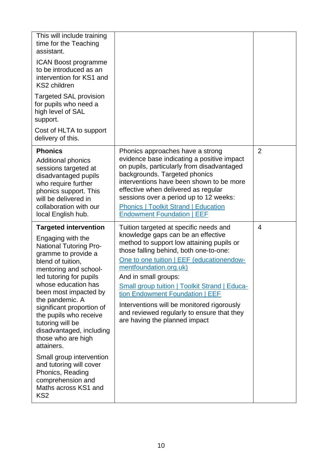| This will include training<br>time for the Teaching<br>assistant.<br><b>ICAN Boost programme</b><br>to be introduced as an<br>intervention for KS1 and<br>KS2 children<br><b>Targeted SAL provision</b><br>for pupils who need a<br>high level of SAL<br>support.<br>Cost of HLTA to support<br>delivery of this.                                                                                                                                                                                                                           |                                                                                                                                                                                                                                                                                                                                                                                                                                                                                            |                |
|---------------------------------------------------------------------------------------------------------------------------------------------------------------------------------------------------------------------------------------------------------------------------------------------------------------------------------------------------------------------------------------------------------------------------------------------------------------------------------------------------------------------------------------------|--------------------------------------------------------------------------------------------------------------------------------------------------------------------------------------------------------------------------------------------------------------------------------------------------------------------------------------------------------------------------------------------------------------------------------------------------------------------------------------------|----------------|
| <b>Phonics</b><br><b>Additional phonics</b><br>sessions targeted at<br>disadvantaged pupils<br>who require further<br>phonics support. This<br>will be delivered in<br>collaboration with our<br>local English hub.                                                                                                                                                                                                                                                                                                                         | Phonics approaches have a strong<br>evidence base indicating a positive impact<br>on pupils, particularly from disadvantaged<br>backgrounds. Targeted phonics<br>interventions have been shown to be more<br>effective when delivered as regular<br>sessions over a period up to 12 weeks:<br><b>Phonics   Toolkit Strand   Education</b><br><b>Endowment Foundation   EEF</b>                                                                                                             | $\overline{2}$ |
| <b>Targeted intervention</b><br>Engaging with the<br><b>National Tutoring Pro-</b><br>gramme to provide a<br>blend of tuition,<br>mentoring and school-<br>led tutoring for pupils<br>whose education has<br>been most impacted by<br>the pandemic. A<br>significant proportion of<br>the pupils who receive<br>tutoring will be<br>disadvantaged, including<br>those who are high<br>attainers.<br>Small group intervention<br>and tutoring will cover<br>Phonics, Reading<br>comprehension and<br>Maths across KS1 and<br>KS <sub>2</sub> | Tuition targeted at specific needs and<br>knowledge gaps can be an effective<br>method to support low attaining pupils or<br>those falling behind, both one-to-one:<br>One to one tuition   EEF (educationendow-<br>mentfoundation.org.uk)<br>And in small groups:<br><b>Small group tuition   Toolkit Strand   Educa-</b><br>tion Endowment Foundation   EEF<br>Interventions will be monitored rigorously<br>and reviewed regularly to ensure that they<br>are having the planned impact | 4              |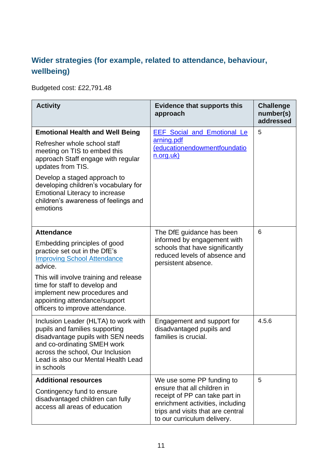## **Wider strategies (for example, related to attendance, behaviour, wellbeing)**

Budgeted cost: £22,791.48

| <b>Activity</b>                                                                                                                                                                                                                                                                                                                        | <b>Evidence that supports this</b><br>approach                                                                                                                                                     | <b>Challenge</b><br>number(s)<br>addressed |
|----------------------------------------------------------------------------------------------------------------------------------------------------------------------------------------------------------------------------------------------------------------------------------------------------------------------------------------|----------------------------------------------------------------------------------------------------------------------------------------------------------------------------------------------------|--------------------------------------------|
| <b>Emotional Health and Well Being</b><br>Refresher whole school staff<br>meeting on TIS to embed this<br>approach Staff engage with regular<br>updates from TIS.<br>Develop a staged approach to<br>developing children's vocabulary for<br><b>Emotional Literacy to increase</b><br>children's awareness of feelings and<br>emotions | <b>EEF</b> Social and Emotional Le<br>arning.pdf<br>(educationendowmentfoundatio<br>n.org.uk)                                                                                                      | 5                                          |
| <b>Attendance</b><br>Embedding principles of good<br>practice set out in the DfE's<br><b>Improving School Attendance</b><br>advice.<br>This will involve training and release<br>time for staff to develop and<br>implement new procedures and<br>appointing attendance/support<br>officers to improve attendance.                     | The DfE guidance has been<br>informed by engagement with<br>schools that have significantly<br>reduced levels of absence and<br>persistent absence.                                                | 6                                          |
| Inclusion Leader (HLTA) to work with<br>pupils and families supporting<br>disadvantage pupils with SEN needs<br>and co-ordinating SMEH work<br>across the school, Our Inclusion<br>Lead is also our Mental Health Lead<br>in schools                                                                                                   | Engagement and support for<br>disadvantaged pupils and<br>families is crucial.                                                                                                                     | 4.5.6                                      |
| <b>Additional resources</b><br>Contingency fund to ensure<br>disadvantaged children can fully<br>access all areas of education                                                                                                                                                                                                         | We use some PP funding to<br>ensure that all children in<br>receipt of PP can take part in<br>enrichment activities, including<br>trips and visits that are central<br>to our curriculum delivery. | 5                                          |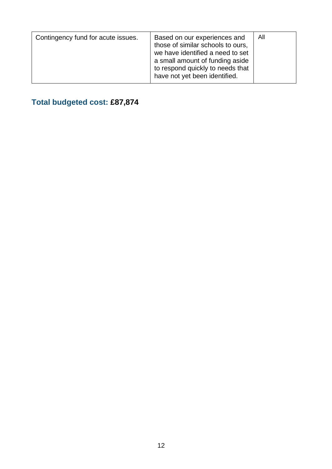| a small amount of funding aside<br>to respond quickly to needs that<br>have not yet been identified. | Contingency fund for acute issues. | Based on our experiences and<br>those of similar schools to ours.<br>we have identified a need to set | All |
|------------------------------------------------------------------------------------------------------|------------------------------------|-------------------------------------------------------------------------------------------------------|-----|
|------------------------------------------------------------------------------------------------------|------------------------------------|-------------------------------------------------------------------------------------------------------|-----|

## **Total budgeted cost: £87,874**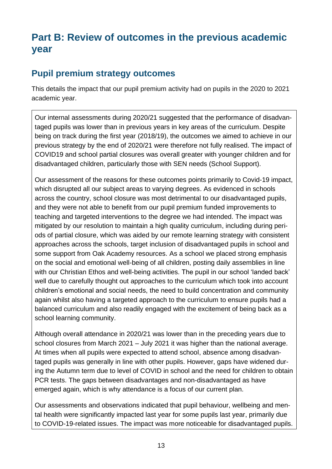## **Part B: Review of outcomes in the previous academic year**

## **Pupil premium strategy outcomes**

This details the impact that our pupil premium activity had on pupils in the 2020 to 2021 academic year.

Our internal assessments during 2020/21 suggested that the performance of disadvantaged pupils was lower than in previous years in key areas of the curriculum. Despite being on track during the first year (2018/19), the outcomes we aimed to achieve in our previous strategy by the end of 2020/21 were therefore not fully realised. The impact of COVID19 and school partial closures was overall greater with younger children and for disadvantaged children, particularly those with SEN needs (School Support).

Our assessment of the reasons for these outcomes points primarily to Covid-19 impact, which disrupted all our subject areas to varying degrees. As evidenced in schools across the country, school closure was most detrimental to our disadvantaged pupils, and they were not able to benefit from our pupil premium funded improvements to teaching and targeted interventions to the degree we had intended. The impact was mitigated by our resolution to maintain a high quality curriculum, including during periods of partial closure, which was aided by our remote learning strategy with consistent approaches across the schools, target inclusion of disadvantaged pupils in school and some support from Oak Academy resources. As a school we placed strong emphasis on the social and emotional well-being of all children, posting daily assemblies in line with our Christian Ethos and well-being activities. The pupil in our school 'landed back' well due to carefully thought out approaches to the curriculum which took into account children's emotional and social needs, the need to build concentration and community again whilst also having a targeted approach to the curriculum to ensure pupils had a balanced curriculum and also readily engaged with the excitement of being back as a school learning community.

Although overall attendance in 2020/21 was lower than in the preceding years due to school closures from March 2021 – July 2021 it was higher than the national average. At times when all pupils were expected to attend school, absence among disadvantaged pupils was generally in line with other pupils. However, gaps have widened during the Autumn term due to level of COVID in school and the need for children to obtain PCR tests. The gaps between disadvantages and non-disadvantaged as have emerged again, which is why attendance is a focus of our current plan.

Our assessments and observations indicated that pupil behaviour, wellbeing and mental health were significantly impacted last year for some pupils last year, primarily due to COVID-19-related issues. The impact was more noticeable for disadvantaged pupils.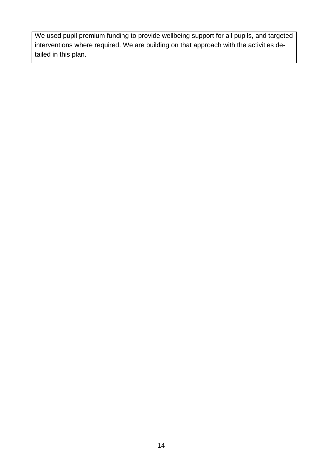We used pupil premium funding to provide wellbeing support for all pupils, and targeted interventions where required. We are building on that approach with the activities detailed in this plan.